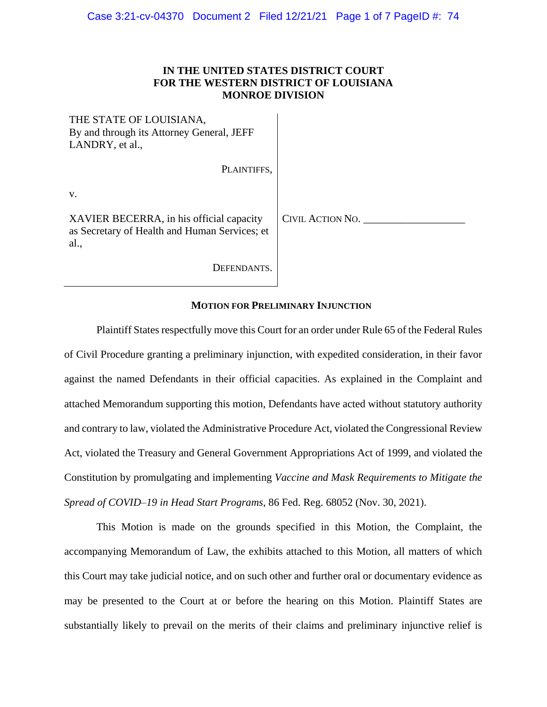# **IN THE UNITED STATES DISTRICT COURT FOR THE WESTERN DISTRICT OF LOUISIANA MONROE DIVISION**

| THE STATE OF LOUISIANA,<br>By and through its Attorney General, JEFF<br>LANDRY, et al.,           |                  |
|---------------------------------------------------------------------------------------------------|------------------|
| PLAINTIFFS,                                                                                       |                  |
| V.                                                                                                |                  |
| XAVIER BECERRA, in his official capacity<br>as Secretary of Health and Human Services; et<br>al., | CIVIL ACTION NO. |
| DEFENDANTS.                                                                                       |                  |

## **MOTION FOR PRELIMINARY INJUNCTION**

Plaintiff States respectfully move this Court for an order under Rule 65 of the Federal Rules of Civil Procedure granting a preliminary injunction, with expedited consideration, in their favor against the named Defendants in their official capacities. As explained in the Complaint and attached Memorandum supporting this motion, Defendants have acted without statutory authority and contrary to law, violated the Administrative Procedure Act, violated the Congressional Review Act, violated the Treasury and General Government Appropriations Act of 1999, and violated the Constitution by promulgating and implementing *Vaccine and Mask Requirements to Mitigate the Spread of COVID–19 in Head Start Programs*, 86 Fed. Reg. 68052 (Nov. 30, 2021).

This Motion is made on the grounds specified in this Motion, the Complaint, the accompanying Memorandum of Law, the exhibits attached to this Motion, all matters of which this Court may take judicial notice, and on such other and further oral or documentary evidence as may be presented to the Court at or before the hearing on this Motion. Plaintiff States are substantially likely to prevail on the merits of their claims and preliminary injunctive relief is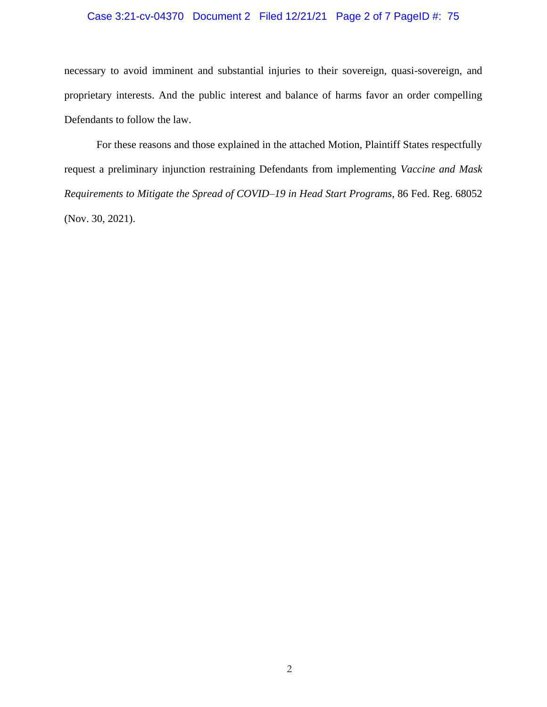# Case 3:21-cv-04370 Document 2 Filed 12/21/21 Page 2 of 7 PageID #: 75

necessary to avoid imminent and substantial injuries to their sovereign, quasi-sovereign, and proprietary interests. And the public interest and balance of harms favor an order compelling Defendants to follow the law.

For these reasons and those explained in the attached Motion, Plaintiff States respectfully request a preliminary injunction restraining Defendants from implementing *Vaccine and Mask Requirements to Mitigate the Spread of COVID–19 in Head Start Programs*, 86 Fed. Reg. 68052 (Nov. 30, 2021).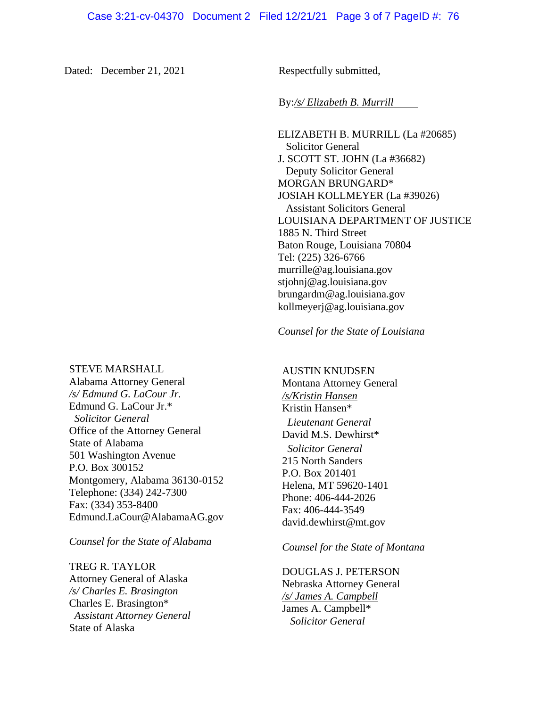Dated: December 21, 2021 Respectfully submitted,

### By:*/s/ Elizabeth B. Murrill*

ELIZABETH B. MURRILL (La #20685) Solicitor General J. SCOTT ST. JOHN (La #36682) Deputy Solicitor General MORGAN BRUNGARD\* JOSIAH KOLLMEYER (La #39026) Assistant Solicitors General LOUISIANA DEPARTMENT OF JUSTICE 1885 N. Third Street Baton Rouge, Louisiana 70804 Tel: (225) 326-6766 murrille@ag.louisiana.gov stjohnj@ag.louisiana.gov brungardm@ag.louisiana.gov kollmeyerj@ag.louisiana.gov

#### *Counsel for the State of Louisiana*

AUSTIN KNUDSEN

Montana Attorney General */s/Kristin Hansen* Kristin Hansen\* *Lieutenant General* David M.S. Dewhirst\* *Solicitor General* 215 North Sanders P.O. Box 201401 Helena, MT 59620-1401 Phone: 406-444-2026 Fax: 406-444-3549 david.dewhirst@mt.gov

## *Counsel for the State of Montana*

DOUGLAS J. PETERSON Nebraska Attorney General */s/ James A. Campbell* James A. Campbell\* *Solicitor General*

#### STEVE MARSHALL

Alabama Attorney General */s/ Edmund G. LaCour Jr.* Edmund G. LaCour Jr.\* *Solicitor General* Office of the Attorney General State of Alabama 501 Washington Avenue P.O. Box 300152 Montgomery, Alabama 36130-0152 Telephone: (334) 242-7300 Fax: (334) 353-8400 Edmund.LaCour@AlabamaAG.gov

*Counsel for the State of Alabama*

TREG R. TAYLOR Attorney General of Alaska */s/ Charles E. Brasington* Charles E. Brasington\* *Assistant Attorney General* State of Alaska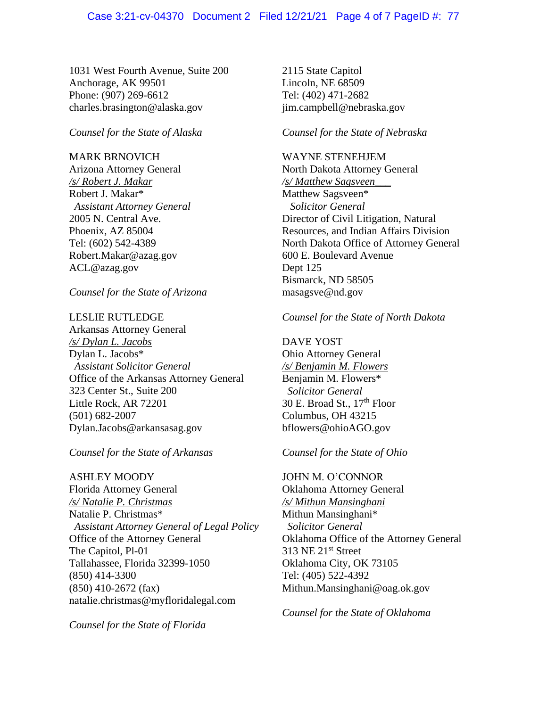### Case 3:21-cv-04370 Document 2 Filed 12/21/21 Page 4 of 7 PageID #: 77

1031 West Fourth Avenue, Suite 200 Anchorage, AK 99501 Phone: (907) 269-6612 charles.brasington@alaska.gov

*Counsel for the State of Alaska*

## MARK BRNOVICH

Arizona Attorney General */s/ Robert J. Makar* Robert J. Makar\*  *Assistant Attorney General* 2005 N. Central Ave. Phoenix, AZ 85004 Tel: (602) 542-4389 Robert.Makar@azag.gov ACL@azag.gov

*Counsel for the State of Arizona*

#### LESLIE RUTLEDGE

Arkansas Attorney General */s/ Dylan L. Jacobs* Dylan L. Jacobs\* *Assistant Solicitor General* Office of the Arkansas Attorney General 323 Center St., Suite 200 Little Rock, AR 72201 (501) 682-2007 Dylan.Jacobs@arkansasag.gov

*Counsel for the State of Arkansas*

ASHLEY MOODY Florida Attorney General */s/ Natalie P. Christmas* Natalie P. Christmas\*  *Assistant Attorney General of Legal Policy* Office of the Attorney General The Capitol, Pl-01 Tallahassee, Florida 32399-1050 (850) 414-3300 (850) 410-2672 (fax) natalie.christmas@myfloridalegal.com

*Counsel for the State of Florida* 

2115 State Capitol Lincoln, NE 68509 Tel: (402) 471-2682 jim.campbell@nebraska.gov

### *Counsel for the State of Nebraska*

WAYNE STENEHJEM North Dakota Attorney General */s/ Matthew Sagsveen\_\_\_* Matthew Sagsveen\*  *Solicitor General* Director of Civil Litigation, Natural Resources, and Indian Affairs Division North Dakota Office of Attorney General 600 E. Boulevard Avenue Dept 125 Bismarck, ND 58505 masagsve@nd.gov

#### *Counsel for the State of North Dakota*

DAVE YOST Ohio Attorney General */s/ Benjamin M. Flowers*  Benjamin M. Flowers\*

 *Solicitor General*  30 E. Broad St., 17<sup>th</sup> Floor Columbus, OH 43215 bflowers@ohioAGO.gov

### *Counsel for the State of Ohio*

JOHN M. O'CONNOR Oklahoma Attorney General */s/ Mithun Mansinghani* Mithun Mansinghani\* *Solicitor General* Oklahoma Office of the Attorney General 313 NE 21st Street Oklahoma City, OK 73105 Tel: (405) 522-4392 Mithun.Mansinghani@oag.ok.gov

*Counsel for the State of Oklahoma*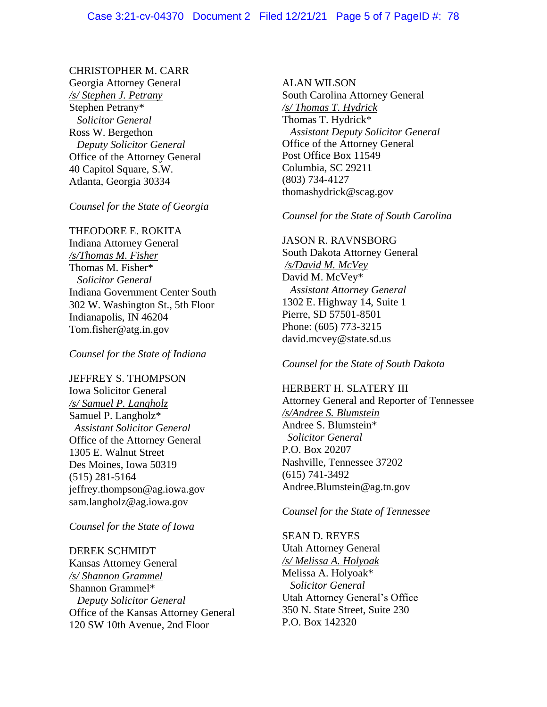# CHRISTOPHER M. CARR

Georgia Attorney General */s/ Stephen J. Petrany* Stephen Petrany\* *Solicitor General* Ross W. Bergethon *Deputy Solicitor General* Office of the Attorney General 40 Capitol Square, S.W. Atlanta, Georgia 30334

# *Counsel for the State of Georgia*

# THEODORE E. ROKITA

Indiana Attorney General */s/Thomas M. Fisher* Thomas M. Fisher\* *Solicitor General* Indiana Government Center South 302 W. Washington St., 5th Floor Indianapolis, IN 46204 Tom.fisher@atg.in.gov

*Counsel for the State of Indiana*

JEFFREY S. THOMPSON Iowa Solicitor General */s/ Samuel P. Langholz*

Samuel P. Langholz\* *Assistant Solicitor General* Office of the Attorney General 1305 E. Walnut Street Des Moines, Iowa 50319 (515) 281-5164 jeffrey.thompson@ag.iowa.gov sam.langholz@ag.iowa.gov

*Counsel for the State of Iowa*

# DEREK SCHMIDT

Kansas Attorney General */s/ Shannon Grammel* Shannon Grammel\*  *Deputy Solicitor General* Office of the Kansas Attorney General 120 SW 10th Avenue, 2nd Floor

ALAN WILSON

South Carolina Attorney General */s/ Thomas T. Hydrick* Thomas T. Hydrick\*  *Assistant Deputy Solicitor General*  Office of the Attorney General Post Office Box 11549 Columbia, SC 29211 (803) 734-4127 thomashydrick@scag.gov

*Counsel for the State of South Carolina* 

# JASON R. RAVNSBORG South Dakota Attorney General */s/David M. McVey* David M. McVey\*  *Assistant Attorney General* 1302 E. Highway 14, Suite 1 Pierre, SD 57501-8501 Phone: (605) 773-3215 david.mcvey@state.sd.us

*Counsel for the State of South Dakota*

HERBERT H. SLATERY III Attorney General and Reporter of Tennessee */s/Andree S. Blumstein* Andree S. Blumstein\* *Solicitor General* P.O. Box 20207 Nashville, Tennessee 37202 (615) 741-3492 Andree.Blumstein@ag.tn.gov

*Counsel for the State of Tennessee* 

SEAN D. REYES Utah Attorney General */s/ Melissa A. Holyoak* Melissa A. Holyoak\*  *Solicitor General* Utah Attorney General's Office 350 N. State Street, Suite 230 P.O. Box 142320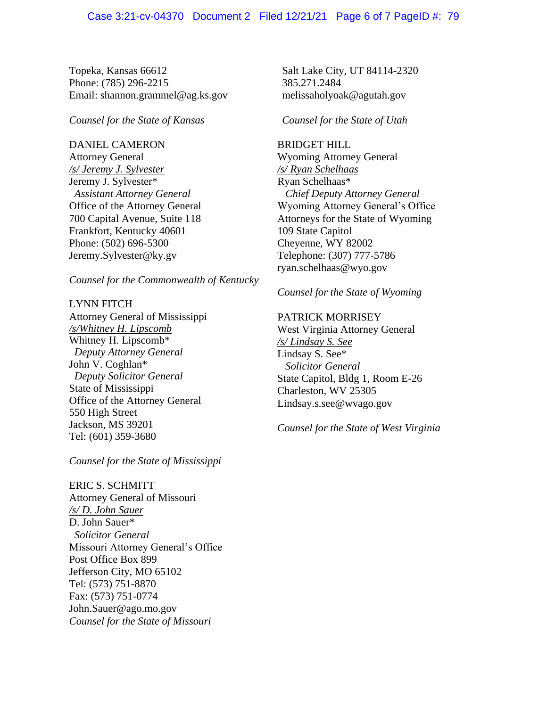Topeka, Kansas 66612 Phone: (785) 296-2215 Email: shannon.grammel@ag.ks.gov

*Counsel for the State of Kansas*

### DANIEL CAMERON

Attorney General */s/ Jeremy J. Sylvester* Jeremy J. Sylvester\*  *Assistant Attorney General* Office of the Attorney General 700 Capital Avenue, Suite 118 Frankfort, Kentucky 40601 Phone: (502) 696-5300 Jeremy.Sylvester@ky.gv

*Counsel for the Commonwealth of Kentucky*

# LYNN FITCH Attorney General of Mississippi */s/Whitney H. Lipscomb* Whitney H. Lipscomb\*  *Deputy Attorney General* John V. Coghlan\*  *Deputy Solicitor General* State of Mississippi Office of the Attorney General 550 High Street Jackson, MS 39201 Tel: (601) 359-3680

*Counsel for the State of Mississippi*

ERIC S. SCHMITT Attorney General of Missouri */s/ D. John Sauer* D. John Sauer\* *Solicitor General* Missouri Attorney General's Office Post Office Box 899 Jefferson City, MO 65102 Tel: (573) 751-8870 Fax: (573) 751-0774 John.Sauer@ago.mo.gov *Counsel for the State of Missouri*

Salt Lake City, UT 84114-2320 385.271.2484 melissaholyoak@agutah.gov

*Counsel for the State of Utah*

BRIDGET HILL Wyoming Attorney General */s/ Ryan Schelhaas* Ryan Schelhaas\* *Chief Deputy Attorney General* Wyoming Attorney General's Office Attorneys for the State of Wyoming 109 State Capitol Cheyenne, WY 82002 Telephone: (307) 777-5786 ryan.schelhaas@wyo.gov

*Counsel for the State of Wyoming*

PATRICK MORRISEY West Virginia Attorney General */s/ Lindsay S. See* Lindsay S. See\*  *Solicitor General* State Capitol, Bldg 1, Room E-26 Charleston, WV 25305 Lindsay.s.see@wvago.gov

*Counsel for the State of West Virginia*